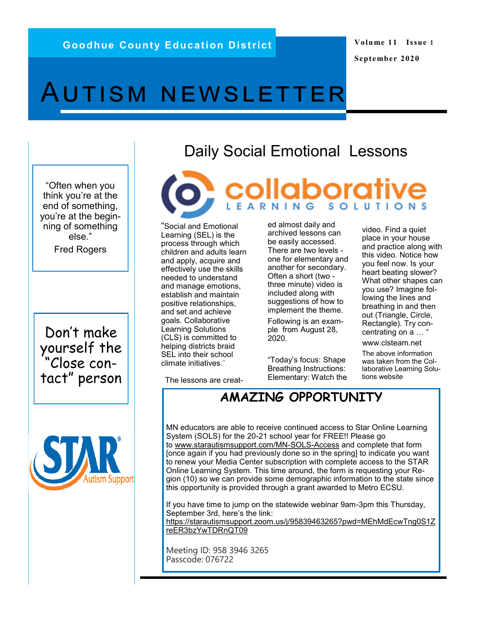**Volume 11 Issue 1 September 2020**

# <span id="page-0-0"></span>AUTISM NEWSLETTER

"Often when you think you're at the end of something, you're at the beginning of something else."

Fred Rogers

Don't make yourself the "Close contact" person



## Daily Social Emotional Lessons

**collaborative** 

"Social and Emotional Learning (SEL) is the process through which children and adults learn and apply, acquire and effectively use the skills needed to understand and manage emotions, establish and maintain positive relationships, and set and achieve goals. Collaborative Learning Solutions (CLS) is committed to helping districts braid SEL into their school climate initiatives."

ed almost daily and archived lessons can be easily accessed. There are two levels one for elementary and another for secondary. Often a short (two three minute) video is included along with suggestions of how to implement the theme.

Following is an example from August 28, 2020.

"Today's focus: Shape Breathing Instructions: Elementary: Watch the video. Find a quiet place in your house and practice along with this video. Notice how you feel now. Is your heart beating slower? What other shapes can you use? Imagine following the lines and breathing in and then out (Triangle, Circle, Rectangle). Try concentrating on a ...

[w](file://gced.local/homefolders/staff/lpetersen/Desktop/September 2020.pub)ww.clsteam.net

The above information was taken from the Collaborative Learning Solutions website

[Th](#page-0-0)e lessons are creat-

### **AMAZING OPPORTUNITY**

MN educators are able to receive continued access to Star Online Learning System (SOLS) for the 20-21 school year for FREE!! Please go to [www.starautismsupport.com/MN](http://www.starautismsupport.com/MN-SOLS-Access)-SOLS-Access and complete that form [once again if you had previously done so in the spring] to indicate you want to renew your Media Center subscription with complete access to the STAR Online Learning System. This time around, the form is requesting your Region (10) so we can provide some demographic information to the state since this opportunity is provided through a grant awarded to Metro ECSU.

If you have time to jump on the statewide webinar 9am-3pm this Thursday, September 3rd, here's the link: [https://starautismsupport.zoom.us/j/95839463265?pwd=MEhMdEcwTng0S1Z](https://starautismsupport.zoom.us/j/95839463265?pwd=MEhMdEcwTng0S1ZreER3bzYwTDRnQT09) [reER3bzYwTDRnQT09](https://starautismsupport.zoom.us/j/95839463265?pwd=MEhMdEcwTng0S1ZreER3bzYwTDRnQT09)

Meeting ID: 958 3946 3265 Passcode: 076722